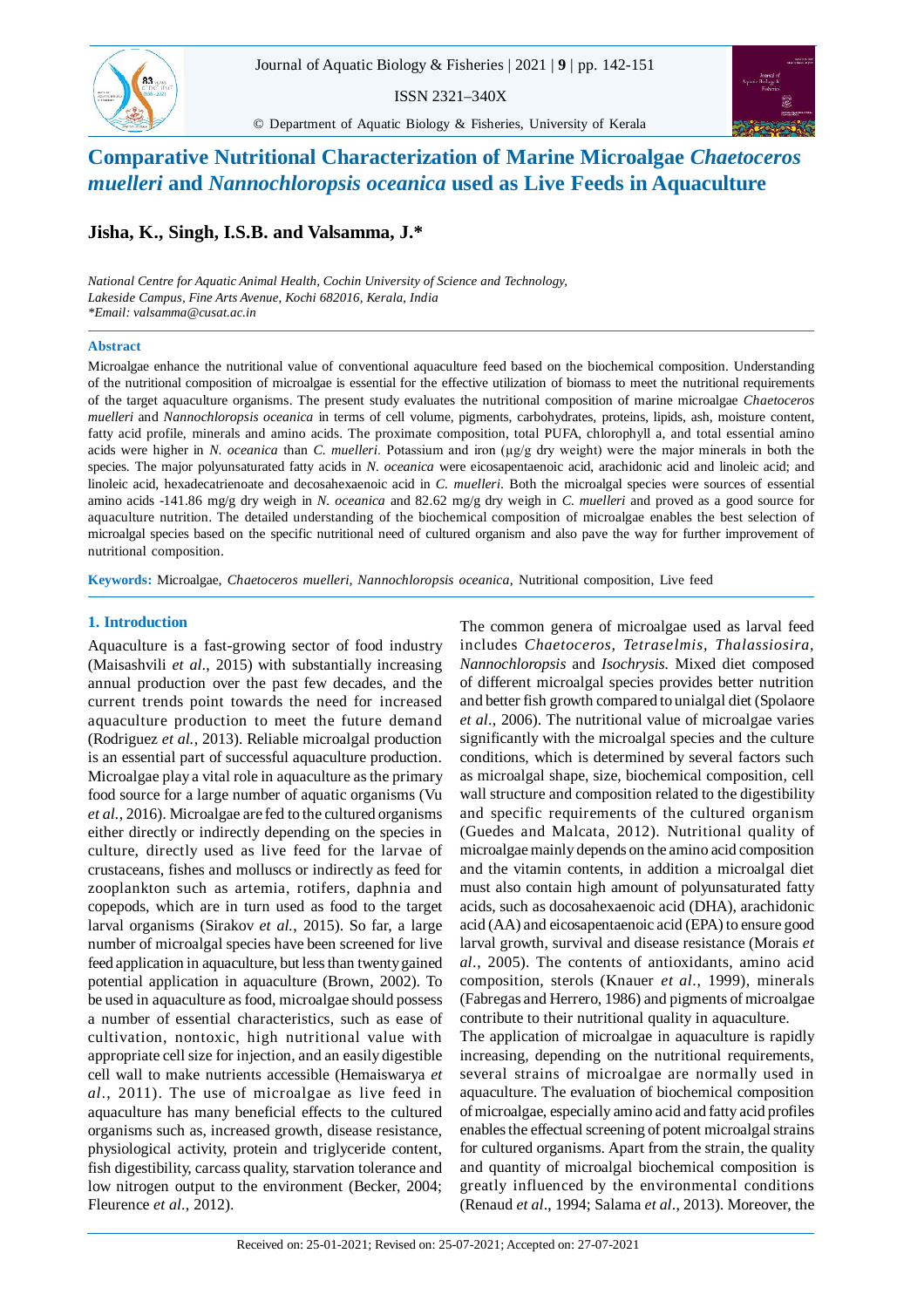

ISSN 2321–340X



© Department of Aquatic Biology & Fisheries, University of Kerala

# **Comparative Nutritional Characterization of Marine Microalgae** *Chaetoceros muelleri* **and** *Nannochloropsis oceanica* **used as Live Feeds in Aquaculture**

**Jisha, K., Singh, I.S.B. and Valsamma, J.\***

*National Centre for Aquatic Animal Health, Cochin University of Science and Technology, Lakeside Campus, Fine Arts Avenue, Kochi 682016, Kerala, India \*Email: valsamma@cusat.ac.in*

# **Abstract**

Microalgae enhance the nutritional value of conventional aquaculture feed based on the biochemical composition. Understanding of the nutritional composition of microalgae is essential for the effective utilization of biomass to meet the nutritional requirements of the target aquaculture organisms. The present study evaluates the nutritional composition of marine microalgae *Chaetoceros muelleri* and *Nannochloropsis oceanica* in terms of cell volume, pigments, carbohydrates, proteins, lipids, ash, moisture content, fatty acid profile, minerals and amino acids. The proximate composition, total PUFA, chlorophyll a, and total essential amino acids were higher in *N. oceanica* than *C. muelleri*. Potassium and iron (µg/g dry weight) were the major minerals in both the species. The major polyunsaturated fatty acids in *N. oceanica* were eicosapentaenoic acid, arachidonic acid and linoleic acid; and linoleic acid, hexadecatrienoate and decosahexaenoic acid in *C. muelleri*. Both the microalgal species were sources of essential amino acids -141.86 mg/g dry weigh in *N. oceanica* and 82.62 mg/g dry weigh in *C. muelleri* and proved as a good source for aquaculture nutrition. The detailed understanding of the biochemical composition of microalgae enables the best selection of microalgal species based on the specific nutritional need of cultured organism and also pave the way for further improvement of nutritional composition.

**Keywords:** Microalgae, *Chaetoceros muelleri, Nannochloropsis oceanica*, Nutritional composition, Live feed

# **1. Introduction**

Aquaculture is a fast-growing sector of food industry (Maisashvili *et al*., 2015) with substantially increasing annual production over the past few decades, and the current trends point towards the need for increased aquaculture production to meet the future demand (Rodriguez *et al.*, 2013). Reliable microalgal production is an essential part of successful aquaculture production. Microalgae play a vital role in aquaculture as the primary food source for a large number of aquatic organisms (Vu *et al.*, 2016). Microalgae are fed to the cultured organisms either directly or indirectly depending on the species in culture, directly used as live feed for the larvae of crustaceans, fishes and molluscs or indirectly as feed for zooplankton such as artemia, rotifers, daphnia and copepods, which are in turn used as food to the target larval organisms (Sirakov *et al.*, 2015). So far, a large number of microalgal species have been screened for live feed application in aquaculture, but less than twenty gained potential application in aquaculture (Brown, 2002). To be used in aquaculture as food, microalgae should possess a number of essential characteristics, such as ease of cultivation, nontoxic, high nutritional value with appropriate cell size for injection, and an easily digestible cell wall to make nutrients accessible (Hemaiswarya *et al*., 2011). The use of microalgae as live feed in aquaculture has many beneficial effects to the cultured organisms such as, increased growth, disease resistance, physiological activity, protein and triglyceride content, fish digestibility, carcass quality, starvation tolerance and low nitrogen output to the environment (Becker, 2004; Fleurence *et al*., 2012).

The common genera of microalgae used as larval feed includes *Chaetoceros, Tetraselmis, Thalassiosira, Nannochloropsis* and *Isochrysis.* Mixed diet composed of different microalgal species provides better nutrition and better fish growth compared to unialgal diet (Spolaore *et al*., 2006). The nutritional value of microalgae varies significantly with the microalgal species and the culture conditions, which is determined by several factors such as microalgal shape, size, biochemical composition, cell wall structure and composition related to the digestibility and specific requirements of the cultured organism (Guedes and Malcata, 2012). Nutritional quality of microalgae mainly depends on the amino acid composition and the vitamin contents, in addition a microalgal diet must also contain high amount of polyunsaturated fatty acids, such as docosahexaenoic acid (DHA), arachidonic acid (AA) and eicosapentaenoic acid (EPA) to ensure good larval growth, survival and disease resistance (Morais *et al*., 2005). The contents of antioxidants, amino acid composition, sterols (Knauer *et al*., 1999), minerals (Fabregas and Herrero, 1986) and pigments of microalgae contribute to their nutritional quality in aquaculture. The application of microalgae in aquaculture is rapidly increasing, depending on the nutritional requirements, several strains of microalgae are normally used in aquaculture. The evaluation of biochemical composition of microalgae, especially amino acid and fatty acid profiles enables the effectual screening of potent microalgal strains for cultured organisms. Apart from the strain, the quality and quantity of microalgal biochemical composition is greatly influenced by the environmental conditions (Renaud *et al*., 1994; Salama *et al*., 2013). Moreover, the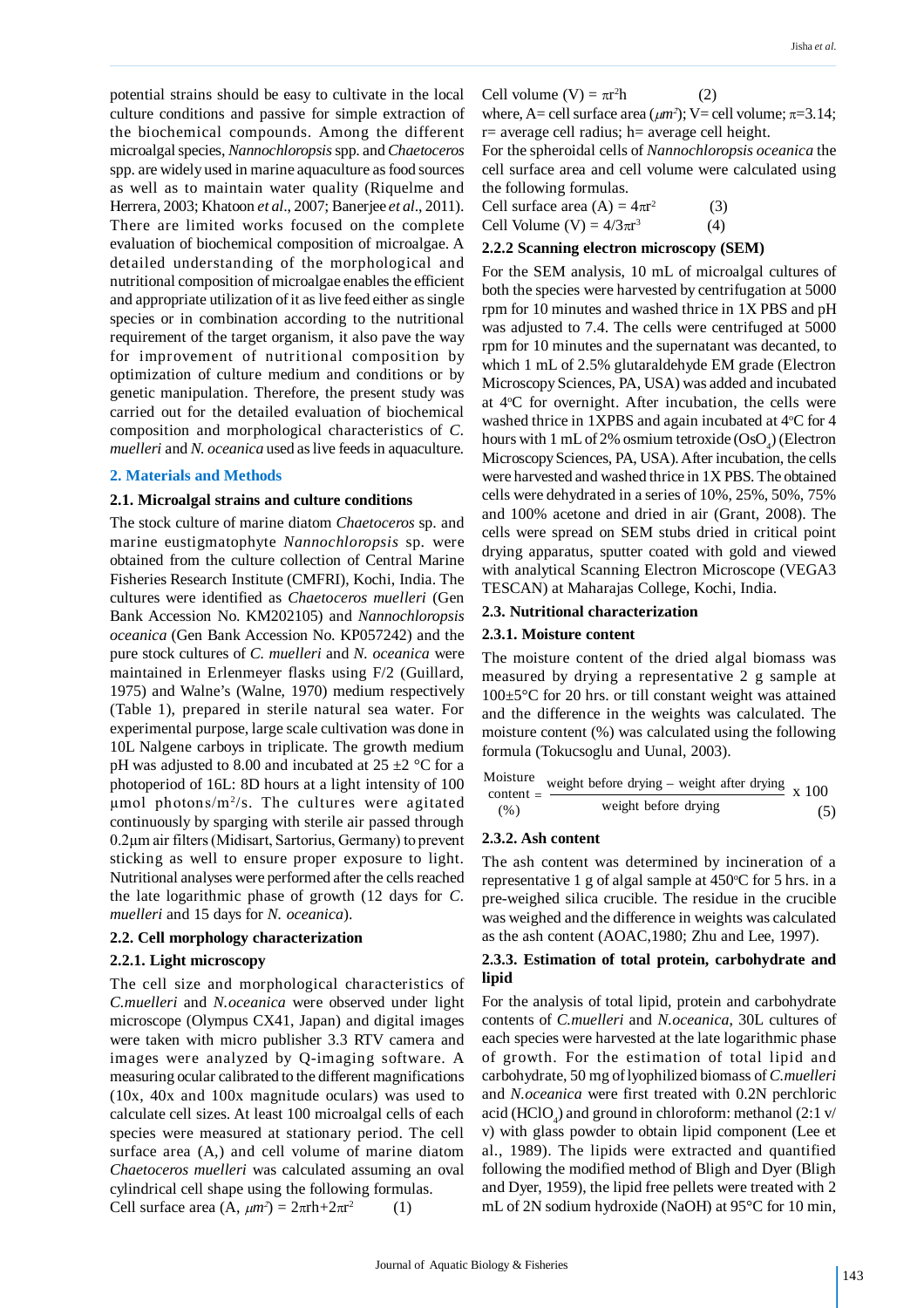potential strains should be easy to cultivate in the local culture conditions and passive for simple extraction of the biochemical compounds. Among the different microalgal species, *Nannochloropsis* spp. and *Chaetoceros* spp. are widely used in marine aquaculture as food sources as well as to maintain water quality (Riquelme and Herrera, 2003; Khatoon *et al*., 2007; Banerjee *et al*., 2011). There are limited works focused on the complete evaluation of biochemical composition of microalgae. A detailed understanding of the morphological and nutritional composition of microalgae enables the efficient and appropriate utilization of it as live feed either as single species or in combination according to the nutritional requirement of the target organism, it also pave the way for improvement of nutritional composition by optimization of culture medium and conditions or by genetic manipulation. Therefore, the present study was carried out for the detailed evaluation of biochemical composition and morphological characteristics of *C. muelleri* and *N. oceanica* used as live feeds in aquaculture*.*

### **2. Materials and Methods**

### **2.1. Microalgal strains and culture conditions**

The stock culture of marine diatom *Chaetoceros* sp. and marine eustigmatophyte *Nannochloropsis* sp. were obtained from the culture collection of Central Marine Fisheries Research Institute (CMFRI), Kochi, India. The cultures were identified as *Chaetoceros muelleri* (Gen Bank Accession No. KM202105) and *Nannochloropsis oceanica* (Gen Bank Accession No. KP057242) and the pure stock cultures of *C. muelleri* and *N. oceanica* were maintained in Erlenmeyer flasks using F/2 (Guillard, 1975) and Walne's (Walne, 1970) medium respectively (Table 1), prepared in sterile natural sea water. For experimental purpose, large scale cultivation was done in 10L Nalgene carboys in triplicate. The growth medium pH was adjusted to 8.00 and incubated at  $25 \pm 2$  °C for a photoperiod of 16L: 8D hours at a light intensity of 100 µmol photons/m<sup>2</sup> /s. The cultures were agitated continuously by sparging with sterile air passed through 0.2µm air filters (Midisart, Sartorius, Germany) to prevent sticking as well to ensure proper exposure to light. Nutritional analyses were performed after the cells reached the late logarithmic phase of growth (12 days for *C. muelleri* and 15 days for *N. oceanica*).

### **2.2. Cell morphology characterization**

# **2.2.1. Light microscopy**

The cell size and morphological characteristics of *C.muelleri* and *N.oceanica* were observed under light microscope (Olympus CX41, Japan) and digital images were taken with micro publisher 3.3 RTV camera and images were analyzed by Q-imaging software. A measuring ocular calibrated to the different magnifications (10x, 40x and 100x magnitude oculars) was used to calculate cell sizes. At least 100 microalgal cells of each species were measured at stationary period. The cell surface area (A,) and cell volume of marine diatom *Chaetoceros muelleri* was calculated assuming an oval cylindrical cell shape using the following formulas. Cell surface area  $(A, \mu m^2) = 2\pi rh + 2\pi r^2$ (1)

Cell volume (V) =  $\pi r^2 h$  $(2)$ 

where, A= cell surface area  $(\mu m^2)$ ; V= cell volume;  $\pi = 3.14$ ;  $r=$  average cell radius; h= average cell height.

For the spheroidal cells of *Nannochloropsis oceanica* the cell surface area and cell volume were calculated using the following formulas.

Cell surface area (A) = 
$$
4\pi r^2
$$
 (3)  
Cell Volume (V) =  $4/3\pi r^3$  (4)

## **2.2.2 Scanning electron microscopy (SEM)**

For the SEM analysis, 10 mL of microalgal cultures of both the species were harvested by centrifugation at 5000 rpm for 10 minutes and washed thrice in 1X PBS and pH was adjusted to 7.4. The cells were centrifuged at 5000 rpm for 10 minutes and the supernatant was decanted, to which 1 mL of 2.5% glutaraldehyde EM grade (Electron Microscopy Sciences, PA, USA) was added and incubated at  $4^{\circ}$ C for overnight. After incubation, the cells were washed thrice in 1XPBS and again incubated at  $4^{\circ}$ C for 4 hours with  $1 \text{ mL of } 2\%$  osmium tetroxide (OsO<sub>4</sub>) (Electron Microscopy Sciences, PA, USA). After incubation, the cells were harvested and washed thrice in 1X PBS. The obtained cells were dehydrated in a series of 10%, 25%, 50%, 75% and 100% acetone and dried in air (Grant, 2008). The cells were spread on SEM stubs dried in critical point drying apparatus, sputter coated with gold and viewed with analytical Scanning Electron Microscope (VEGA3 TESCAN) at Maharajas College, Kochi, India.

#### **2.3. Nutritional characterization**

### **2.3.1. Moisture content**

The moisture content of the dried algal biomass was measured by drying a representative 2 g sample at 100±5°C for 20 hrs. or till constant weight was attained and the difference in the weights was calculated. The moisture content (%) was calculated using the following formula (Tokucsoglu and Uunal, 2003).

Moisture  
\ncontent = 
$$
\frac{\text{weight before drying} - \text{weight after drying}}{\text{weight before drying}} \times 100
$$

\n(%)

#### **2.3.2. Ash content**

The ash content was determined by incineration of a representative 1 g of algal sample at  $450^{\circ}$ C for 5 hrs. in a pre-weighed silica crucible. The residue in the crucible was weighed and the difference in weights was calculated as the ash content (AOAC,1980; Zhu and Lee, 1997).

# **2.3.3. Estimation of total protein, carbohydrate and lipid**

For the analysis of total lipid, protein and carbohydrate contents of *C.muelleri* and *N.oceanica*, 30L cultures of each species were harvested at the late logarithmic phase of growth. For the estimation of total lipid and carbohydrate, 50 mg of lyophilized biomass of *C.muelleri* and *N.oceanica* were first treated with 0.2N perchloric acid (HClO<sub>4</sub>) and ground in chloroform: methanol (2:1 v/ v) with glass powder to obtain lipid component (Lee et al., 1989). The lipids were extracted and quantified following the modified method of Bligh and Dyer (Bligh and Dyer, 1959), the lipid free pellets were treated with 2 mL of 2N sodium hydroxide (NaOH) at 95°C for 10 min,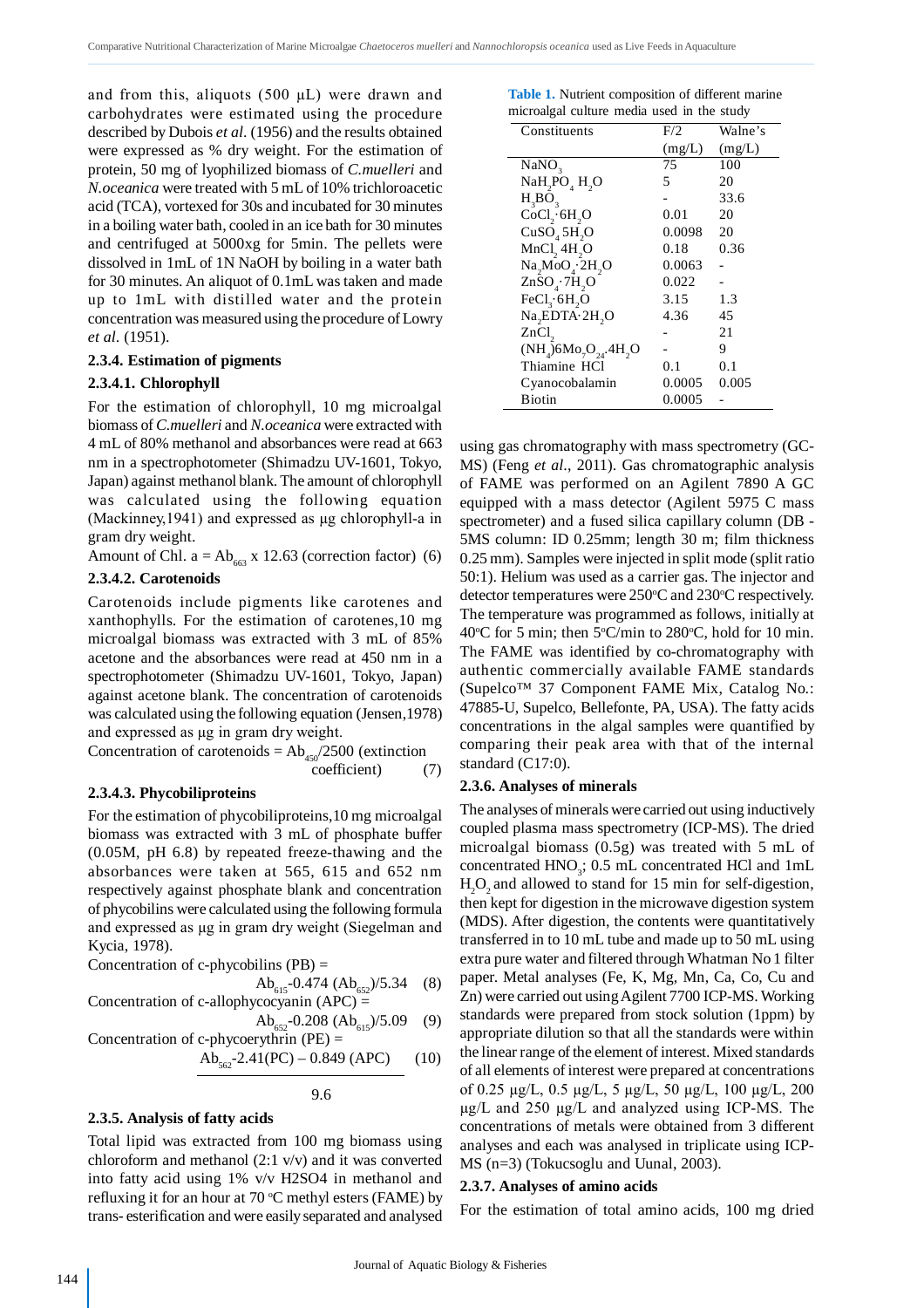and from this, aliquots  $(500 \mu L)$  were drawn and carbohydrates were estimated using the procedure described by Dubois *et al*. (1956) and the results obtained were expressed as % dry weight. For the estimation of protein, 50 mg of lyophilized biomass of *C.muelleri* and *N.oceanica* were treated with 5 mL of 10% trichloroacetic acid (TCA), vortexed for 30s and incubated for 30 minutes in a boiling water bath, cooled in an ice bath for 30 minutes and centrifuged at 5000xg for 5min. The pellets were dissolved in 1mL of 1N NaOH by boiling in a water bath for 30 minutes. An aliquot of 0.1mL was taken and made up to 1mL with distilled water and the protein concentration was measured using the procedure of Lowry *et al*. (1951).

# **2.3.4. Estimation of pigments**

# **2.3.4.1. Chlorophyll**

For the estimation of chlorophyll, 10 mg microalgal biomass of *C.muelleri* and *N.oceanica* were extracted with 4 mL of 80% methanol and absorbances were read at 663 nm in a spectrophotometer (Shimadzu UV-1601, Tokyo, Japan) against methanol blank. The amount of chlorophyll was calculated using the following equation (Mackinney,1941) and expressed as µg chlorophyll-a in gram dry weight.

Amount of Chl.  $a = Ab_{663}$  x 12.63 (correction factor) (6)

# **2.3.4.2. Carotenoids**

Carotenoids include pigments like carotenes and xanthophylls. For the estimation of carotenes,10 mg microalgal biomass was extracted with 3 mL of 85% acetone and the absorbances were read at 450 nm in a spectrophotometer (Shimadzu UV-1601, Tokyo, Japan) against acetone blank. The concentration of carotenoids was calculated using the following equation (Jensen,1978) and expressed as  $\mu$ g in gram dry weight.

Concentration of carotenoids =  $Ab_{450}/2500$  (extinction coefficient) (7) coefficient)

# **2.3.4.3. Phycobiliproteins**

For the estimation of phycobiliproteins,10 mg microalgal biomass was extracted with 3 mL of phosphate buffer (0.05M, pH 6.8) by repeated freeze-thawing and the absorbances were taken at 565, 615 and 652 nm respectively against phosphate blank and concentration of phycobilins were calculated using the following formula and expressed as µg in gram dry weight (Siegelman and Kycia, 1978).

Concentration of c-phycobilins  $(PB)$  =

$$
Ab_{615}
$$
-0.474  $(Ab_{652})/5.34$  (8)  
Concentration of c-allowbyocoyanin  $(APC)$  =

$$
Ab_{652} = 0.208 (Ab_{615})/5.09
$$
 (9)  
Concentration of c-phycoerythrin (PE) =

$$
Ab_{562} - 2.41(PC) - 0.849 (APC)
$$
 (10)

9.6

# **2.3.5. Analysis of fatty acids**

Total lipid was extracted from 100 mg biomass using chloroform and methanol (2:1 v/v) and it was converted into fatty acid using 1% v/v H2SO4 in methanol and refluxing it for an hour at  $70^{\circ}$ C methyl esters (FAME) by trans- esterification and were easily separated and analysed

|                                            |  |  | Table 1. Nutrient composition of different marine |
|--------------------------------------------|--|--|---------------------------------------------------|
| microalgal culture media used in the study |  |  |                                                   |

| Constituents                                      | F/2    | Walne's |
|---------------------------------------------------|--------|---------|
|                                                   | (mg/L) | (mg/L)  |
| NaNO <sub>3</sub>                                 | 75     | 100     |
| NaH <sub>2</sub> PO <sub>4</sub> H <sub>2</sub> O | 5      | 20      |
| $H_3BO_3$                                         |        | 33.6    |
| CoCl <sub>2</sub> ·6H <sub>2</sub> O              | 0.01   | 20      |
| CuSO <sub>4</sub> 5H <sub>2</sub> O               | 0.0098 | 20      |
| MnCl <sub>2</sub> 4H <sub>2</sub> O               | 0.18   | 0.36    |
| Na, MoO <sub>A</sub> ·2H, O                       | 0.0063 |         |
| ZnSO <sub>4</sub> ·7H <sub>2</sub> O              | 0.022  |         |
| FeCl <sub>3</sub> ·6H <sub>2</sub> O              | 3.15   | 1.3     |
| Na,EDTA·2H,O                                      | 4.36   | 45      |
| $ZnCl$ ,                                          |        | 21      |
| $(NH_4)6Mo_7O_{24}.4H_2O$                         |        | 9       |
| Thiamine HCl                                      | 0.1    | 0.1     |
| Cyanocobalamin                                    | 0.0005 | 0.005   |
| Biotin                                            | 0.0005 |         |
|                                                   |        |         |

using gas chromatography with mass spectrometry (GC-MS) (Feng *et al*., 2011). Gas chromatographic analysis of FAME was performed on an Agilent 7890 A GC equipped with a mass detector (Agilent 5975 C mass spectrometer) and a fused silica capillary column (DB - 5MS column: ID 0.25mm; length 30 m; film thickness 0.25 mm). Samples were injected in split mode (split ratio 50:1). Helium was used as a carrier gas. The injector and detector temperatures were  $250^{\circ}$ C and  $230^{\circ}$ C respectively. The temperature was programmed as follows, initially at 40°C for 5 min; then 5°C/min to 280°C, hold for 10 min. The FAME was identified by co-chromatography with authentic commercially available FAME standards (Supelco™ 37 Component FAME Mix, Catalog No.: 47885-U, Supelco, Bellefonte, PA, USA). The fatty acids concentrations in the algal samples were quantified by comparing their peak area with that of the internal standard (C17:0).

# **2.3.6. Analyses of minerals**

The analyses of minerals were carried out using inductively coupled plasma mass spectrometry (ICP-MS). The dried microalgal biomass (0.5g) was treated with 5 mL of concentrated  $HNO<sub>3</sub>$ ; 0.5 mL concentrated HCl and 1mL  $H<sub>2</sub>O<sub>2</sub>$  and allowed to stand for 15 min for self-digestion, then kept for digestion in the microwave digestion system (MDS). After digestion, the contents were quantitatively transferred in to 10 mL tube and made up to 50 mL using extra pure water and filtered through Whatman No 1 filter paper. Metal analyses (Fe, K, Mg, Mn, Ca, Co, Cu and Zn) were carried out using Agilent 7700 ICP-MS. Working standards were prepared from stock solution (1ppm) by appropriate dilution so that all the standards were within the linear range of the element of interest. Mixed standards of all elements of interest were prepared at concentrations of 0.25 µg/L, 0.5 µg/L, 5 µg/L, 50 µg/L, 100 µg/L, 200 µg/L and 250 µg/L and analyzed using ICP-MS. The concentrations of metals were obtained from 3 different analyses and each was analysed in triplicate using ICP-MS (n=3) (Tokucsoglu and Uunal, 2003).

# **2.3.7. Analyses of amino acids**

For the estimation of total amino acids, 100 mg dried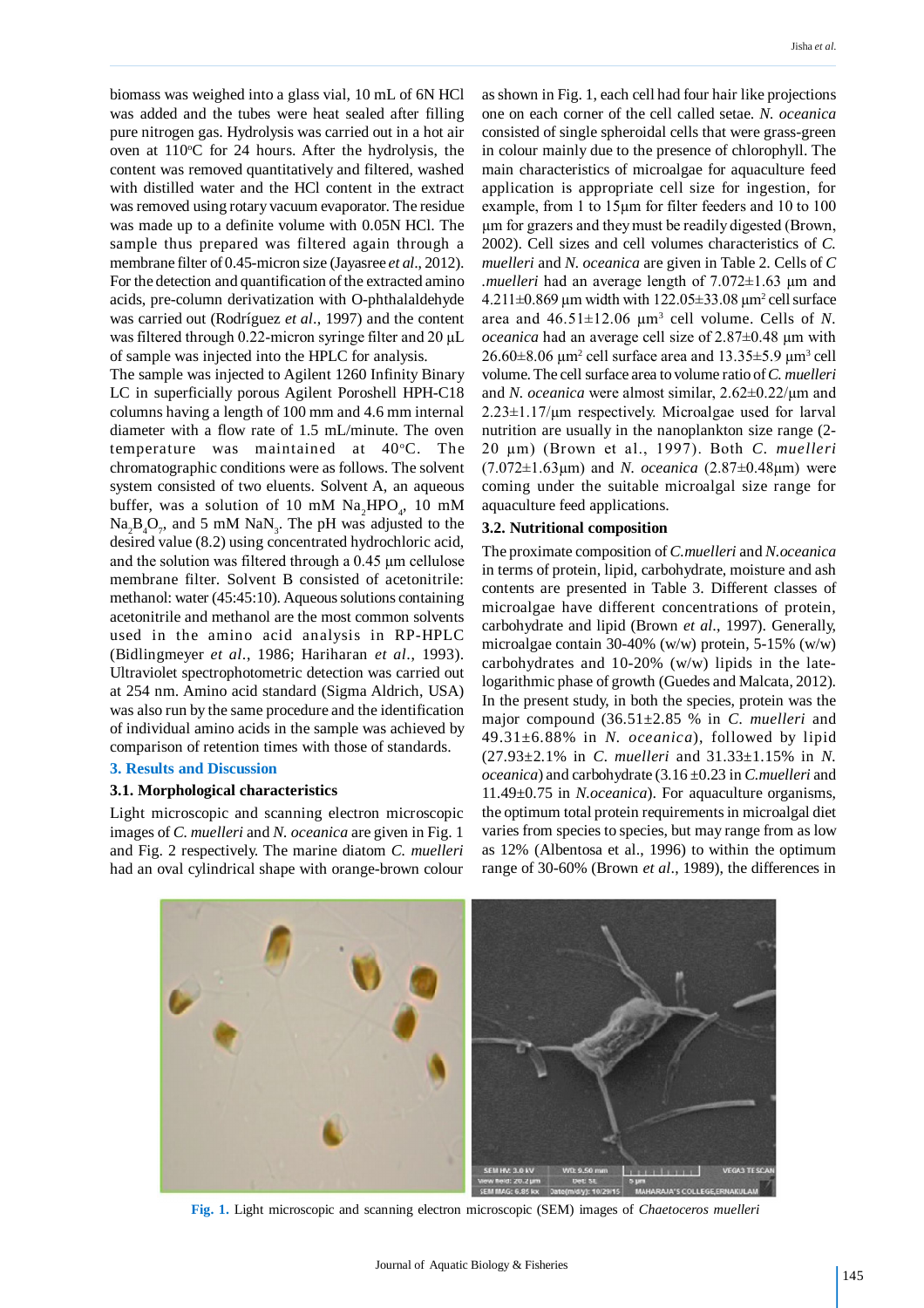biomass was weighed into a glass vial, 10 mL of 6N HCl was added and the tubes were heat sealed after filling pure nitrogen gas. Hydrolysis was carried out in a hot air oven at  $110^{\circ}$ C for 24 hours. After the hydrolysis, the content was removed quantitatively and filtered, washed with distilled water and the HCl content in the extract was removed using rotary vacuum evaporator. The residue was made up to a definite volume with 0.05N HCl. The sample thus prepared was filtered again through a membrane filter of 0.45-micron size (Jayasree *et al*., 2012). For the detection and quantification of the extracted amino acids, pre-column derivatization with O-phthalaldehyde was carried out (Rodríguez *et al*., 1997) and the content was filtered through 0.22-micron syringe filter and 20 µL of sample was injected into the HPLC for analysis.

The sample was injected to Agilent 1260 Infinity Binary LC in superficially porous Agilent Poroshell HPH-C18 columns having a length of 100 mm and 4.6 mm internal diameter with a flow rate of 1.5 mL/minute. The oven temperature was maintained at 40°C. The chromatographic conditions were as follows. The solvent system consisted of two eluents. Solvent A, an aqueous buffer, was a solution of 10 mM  $\text{Na}_2\text{HPO}_4$ , 10 mM  $\text{Na}_2\text{B}_4\text{O}_7$ , and 5 mM  $\text{NaN}_3$ . The pH was adjusted to the desired value (8.2) using concentrated hydrochloric acid, and the solution was filtered through a 0.45 µm cellulose membrane filter. Solvent B consisted of acetonitrile: methanol: water (45:45:10). Aqueous solutions containing acetonitrile and methanol are the most common solvents used in the amino acid analysis in RP-HPLC (Bidlingmeyer *et al*., 1986; Hariharan *et al*., 1993). Ultraviolet spectrophotometric detection was carried out at 254 nm. Amino acid standard (Sigma Aldrich, USA) was also run by the same procedure and the identification of individual amino acids in the sample was achieved by comparison of retention times with those of standards.

# **3. Results and Discussion**

## **3.1. Morphological characteristics**

Light microscopic and scanning electron microscopic images of *C. muelleri* and *N. oceanica* are given in Fig. 1 and Fig. 2 respectively. The marine diatom *C. muelleri* had an oval cylindrical shape with orange-brown colour

as shown in Fig. 1, each cell had four hair like projections one on each corner of the cell called setae. *N. oceanica* consisted of single spheroidal cells that were grass-green in colour mainly due to the presence of chlorophyll. The main characteristics of microalgae for aquaculture feed application is appropriate cell size for ingestion, for example, from 1 to 15µm for filter feeders and 10 to 100 µm for grazers and they must be readily digested (Brown, 2002). Cell sizes and cell volumes characteristics of *C. muelleri* and *N. oceanica* are given in Table 2. Cells of *C .muelleri* had an average length of 7.072±1.63 µm and  $4.211\pm0.869$  µm width with  $122.05\pm33.08$  µm<sup>2</sup> cell surface area and  $46.51 \pm 12.06$   $\mu$ m<sup>3</sup> cell volume. Cells of *N*. *oceanica* had an average cell size of 2.87±0.48 µm with  $26.60\pm8.06$  µm<sup>2</sup> cell surface area and  $13.35\pm5.9$  µm<sup>3</sup> cell volume. The cell surface area to volume ratio of *C. muelleri* and *N. oceanica* were almost similar, 2.62±0.22/µm and  $2.23 \pm 1.17/\mu m$  respectively. Microalgae used for larval nutrition are usually in the nanoplankton size range (2- 20 µm) (Brown et al., 1997). Both *C. muelleri* (7.072±1.63µm) and *N. oceanica* (2.87±0.48µm) were coming under the suitable microalgal size range for aquaculture feed applications.

#### **3.2. Nutritional composition**

The proximate composition of *C.muelleri* and *N.oceanica* in terms of protein, lipid, carbohydrate, moisture and ash contents are presented in Table 3. Different classes of microalgae have different concentrations of protein, carbohydrate and lipid (Brown *et al*., 1997). Generally, microalgae contain 30-40% (w/w) protein, 5-15% (w/w) carbohydrates and 10-20% (w/w) lipids in the latelogarithmic phase of growth (Guedes and Malcata, 2012). In the present study, in both the species, protein was the major compound (36.51±2.85 % in *C. muelleri* and 49.31±6.88% in *N. oceanica*), followed by lipid (27.93±2.1% in *C. muelleri* and 31.33±1.15% in *N. oceanica*) and carbohydrate (3.16 ±0.23 in *C.muelleri* and 11.49±0.75 in *N.oceanica*). For aquaculture organisms, the optimum total protein requirements in microalgal diet varies from species to species, but may range from as low as 12% (Albentosa et al., 1996) to within the optimum range of 30-60% (Brown *et al*., 1989), the differences in



**Fig. 1.** Light microscopic and scanning electron microscopic (SEM) images of *Chaetoceros muelleri*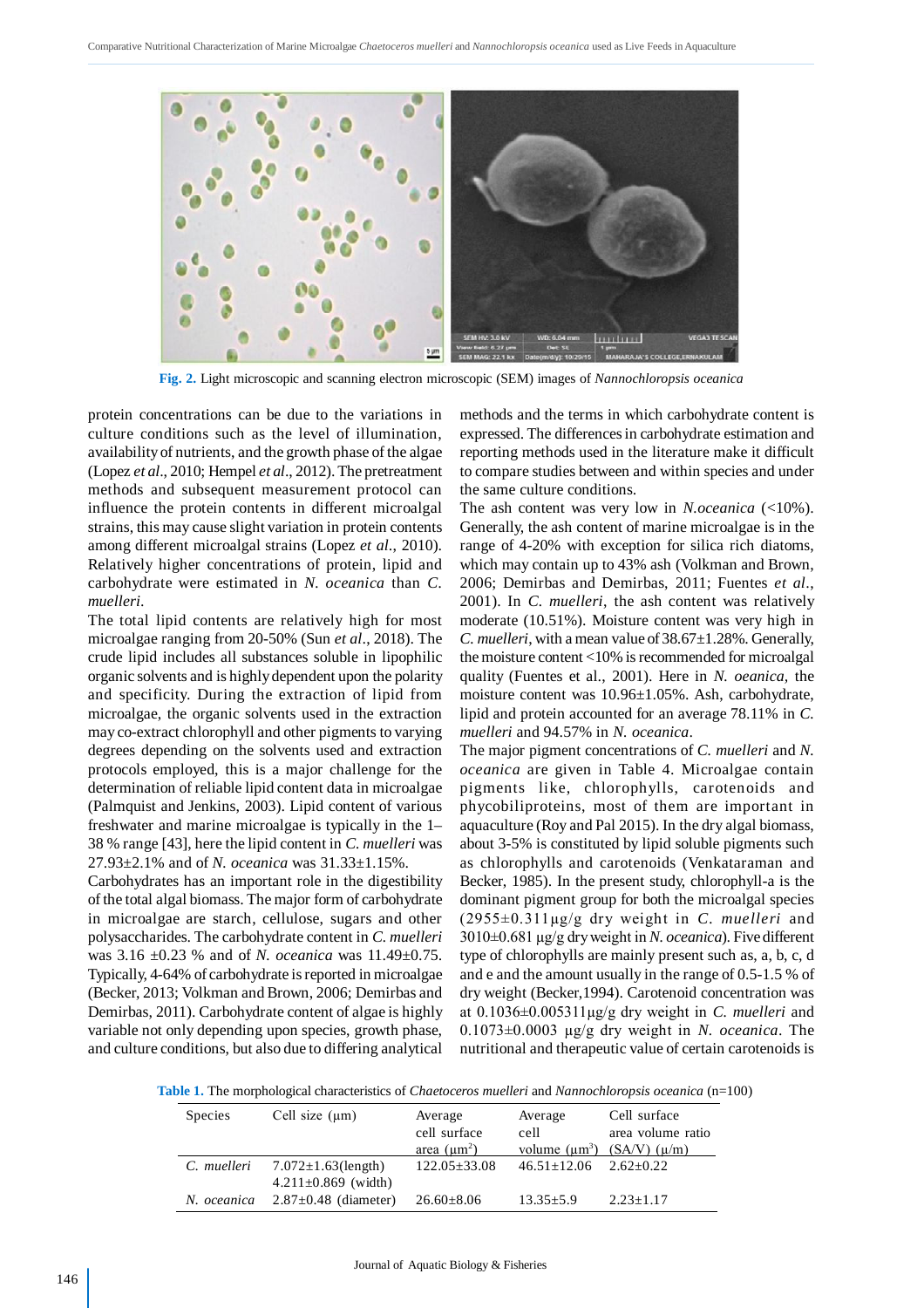

**Fig. 2.** Light microscopic and scanning electron microscopic (SEM) images of *Nannochloropsis oceanica*

protein concentrations can be due to the variations in culture conditions such as the level of illumination, availability of nutrients, and the growth phase of the algae (Lopez *et al*., 2010; Hempel *et al*., 2012). The pretreatment methods and subsequent measurement protocol can influence the protein contents in different microalgal strains, this may cause slight variation in protein contents among different microalgal strains (Lopez *et al*., 2010). Relatively higher concentrations of protein, lipid and carbohydrate were estimated in *N. oceanica* than *C. muelleri*.

The total lipid contents are relatively high for most microalgae ranging from 20-50% (Sun *et al*., 2018). The crude lipid includes all substances soluble in lipophilic organic solvents and is highly dependent upon the polarity and specificity. During the extraction of lipid from microalgae, the organic solvents used in the extraction may co-extract chlorophyll and other pigments to varying degrees depending on the solvents used and extraction protocols employed, this is a major challenge for the determination of reliable lipid content data in microalgae (Palmquist and Jenkins, 2003). Lipid content of various freshwater and marine microalgae is typically in the 1– 38 % range [43], here the lipid content in *C. muelleri* was 27.93±2.1% and of *N. oceanica* was 31.33±1.15%.

Carbohydrates has an important role in the digestibility of the total algal biomass. The major form of carbohydrate in microalgae are starch, cellulose, sugars and other polysaccharides. The carbohydrate content in *C. muelleri* was 3.16 ±0.23 % and of *N. oceanica* was 11.49±0.75. Typically, 4-64% of carbohydrate is reported in microalgae (Becker, 2013; Volkman and Brown, 2006; Demirbas and Demirbas, 2011). Carbohydrate content of algae is highly variable not only depending upon species, growth phase, and culture conditions, but also due to differing analytical methods and the terms in which carbohydrate content is expressed. The differences in carbohydrate estimation and reporting methods used in the literature make it difficult to compare studies between and within species and under the same culture conditions.

The ash content was very low in *N.oceanica* (<10%). Generally, the ash content of marine microalgae is in the range of 4-20% with exception for silica rich diatoms, which may contain up to 43% ash (Volkman and Brown, 2006; Demirbas and Demirbas, 2011; Fuentes *et al*., 2001). In *C. muelleri*, the ash content was relatively moderate (10.51%). Moisture content was very high in *C. muelleri*, with a mean value of 38.67±1.28%. Generally, the moisture content <10% is recommended for microalgal quality (Fuentes et al., 2001). Here in *N. oeanica,* the moisture content was 10.96±1.05%. Ash, carbohydrate, lipid and protein accounted for an average 78.11% in *C. muelleri* and 94.57% in *N. oceanica*.

The major pigment concentrations of *C. muelleri* and *N. oceanica* are given in Table 4. Microalgae contain pigments like, chlorophylls, carotenoids and phycobiliproteins, most of them are important in aquaculture (Roy and Pal 2015). In the dry algal biomass, about 3-5% is constituted by lipid soluble pigments such as chlorophylls and carotenoids (Venkataraman and Becker, 1985). In the present study, chlorophyll-a is the dominant pigment group for both the microalgal species (2955±0.311µg/g dry weight in *C. muelleri* and 3010±0.681 µg/g dry weight in *N. oceanica*). Five different type of chlorophylls are mainly present such as, a, b, c, d and e and the amount usually in the range of 0.5-1.5 % of dry weight (Becker,1994). Carotenoid concentration was at 0.1036±0.005311µg/g dry weight in *C. muelleri* and 0.1073±0.0003 µg/g dry weight in *N. oceanica*. The nutritional and therapeutic value of certain carotenoids is

**Table 1.** The morphological characteristics of *Chaetoceros muelleri* and *Nannochloropsis oceanica* (n=100)

| <b>Species</b> | Cell size $(\mu m)$        | Average            | Average                           | Cell surface                        |
|----------------|----------------------------|--------------------|-----------------------------------|-------------------------------------|
|                |                            | cell surface       | cell                              | area volume ratio                   |
|                |                            | area $(\mu m^2)$   |                                   | volume $(\mu m^3)$ (SA/V) $(\mu/m)$ |
| C. muelleri    | $7.072 \pm 1.63$ (length)  | $122.05 \pm 33.08$ | $46.51 \pm 12.06$ $2.62 \pm 0.22$ |                                     |
|                | $4.211 \pm 0.869$ (width)  |                    |                                   |                                     |
| N. oceanica    | $2.87 \pm 0.48$ (diameter) | $26.60 \pm 8.06$   | $13.35 \pm 5.9$                   | $2.23 + 1.17$                       |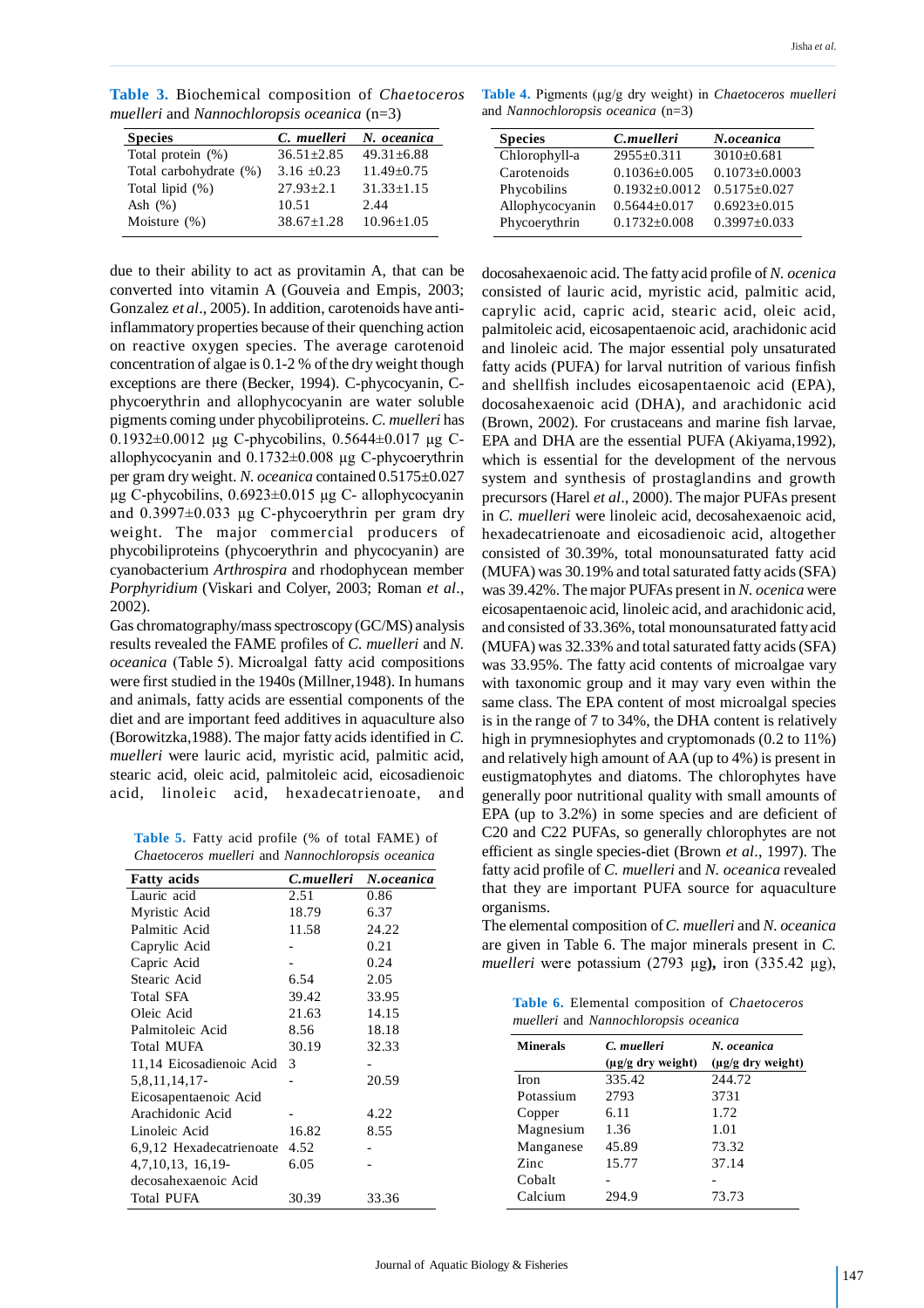**Table 3.** Biochemical composition of *Chaetoceros muelleri* and *Nannochloropsis oceanica* (n=3)

| C. muelleri      | N. oceanica      |
|------------------|------------------|
| $36.51 \pm 2.85$ | $49.31 \pm 6.88$ |
| $3.16 \pm 0.23$  | $11.49 \pm 0.75$ |
| $27.93 \pm 2.1$  | $31.33 \pm 1.15$ |
| 10.51            | 2.44             |
| $38.67 \pm 1.28$ | $10.96 \pm 1.05$ |
|                  |                  |

due to their ability to act as provitamin A, that can be converted into vitamin A (Gouveia and Empis, 2003; Gonzalez *et al*., 2005). In addition, carotenoids have antiinflammatory properties because of their quenching action on reactive oxygen species. The average carotenoid concentration of algae is 0.1-2 % of the dry weight though exceptions are there (Becker, 1994). C-phycocyanin, Cphycoerythrin and allophycocyanin are water soluble pigments coming under phycobiliproteins. *C. muelleri* has 0.1932 $\pm$ 0.0012 µg C-phycobilins, 0.5644 $\pm$ 0.017 µg Callophycocyanin and 0.1732±0.008 µg C-phycoerythrin per gram dry weight. *N. oceanica* contained 0.5175±0.027 µg C-phycobilins, 0.6923±0.015 µg C- allophycocyanin and  $0.3997\pm0.033$  µg C-phycoerythrin per gram dry weight. The major commercial producers of phycobiliproteins (phycoerythrin and phycocyanin) are cyanobacterium *Arthrospira* and rhodophycean member *Porphyridium* (Viskari and Colyer, 2003; Roman *et al*., 2002).

Gas chromatography/mass spectroscopy (GC/MS) analysis results revealed the FAME profiles of *C. muelleri* and *N. oceanica* (Table 5). Microalgal fatty acid compositions were first studied in the 1940s (Millner,1948). In humans and animals, fatty acids are essential components of the diet and are important feed additives in aquaculture also (Borowitzka,1988). The major fatty acids identified in *C. muelleri* were lauric acid, myristic acid, palmitic acid, stearic acid, oleic acid, palmitoleic acid, eicosadienoic acid, linoleic acid, hexadecatrienoate, and

**Table 5.** Fatty acid profile (% of total FAME) of *Chaetoceros muelleri* and *Nannochloropsis oceanica*

| <b>Fatty</b> acids       | C.muelleri | N.oceanica |
|--------------------------|------------|------------|
| Lauric acid              | 2.51       | 0.86       |
| Myristic Acid            | 18.79      | 6.37       |
| Palmitic Acid            | 11.58      | 24.22      |
| Caprylic Acid            |            | 0.21       |
| Capric Acid              |            | 0.24       |
| Stearic Acid             | 6.54       | 2.05       |
| Total SFA                | 39.42      | 33.95      |
| Oleic Acid               | 21.63      | 14.15      |
| Palmitoleic Acid         | 8.56       | 18.18      |
| <b>Total MUFA</b>        | 30.19      | 32.33      |
| 11,14 Eicosadienoic Acid | 3          |            |
| 5,8,11,14,17-            |            | 20.59      |
| Eicosapentaenoic Acid    |            |            |
| Arachidonic Acid         |            | 4.22       |
| Linoleic Acid            | 16.82      | 8.55       |
| 6,9,12 Hexadecatrienoate | 4.52       |            |
| 4,7,10,13, 16,19-        | 6.05       |            |
| decosahexaenoic Acid     |            |            |
| <b>Total PUFA</b>        | 30.39      | 33.36      |

**Table 4.** Pigments (µg/g dry weight) in *Chaetoceros muelleri* and *Nannochloropsis oceanica* (n=3)

| <b>Species</b>  | C.muelleri          | N.oceanica          |
|-----------------|---------------------|---------------------|
| Chlorophyll-a   | $2955 \pm 0.311$    | $3010 \pm 0.681$    |
| Carotenoids     | $0.1036 \pm 0.005$  | $0.1073 \pm 0.0003$ |
| Phycobilins     | $0.1932 \pm 0.0012$ | $0.5175 \pm 0.027$  |
| Allophycocyanin | $0.5644 \pm 0.017$  | $0.6923 \pm 0.015$  |
| Phycoerythrin   | $0.1732 \pm 0.008$  | $0.3997 \pm 0.033$  |
|                 |                     |                     |

docosahexaenoic acid. The fatty acid profile of *N. ocenica* consisted of lauric acid, myristic acid, palmitic acid, caprylic acid, capric acid, stearic acid, oleic acid, palmitoleic acid, eicosapentaenoic acid, arachidonic acid and linoleic acid. The major essential poly unsaturated fatty acids (PUFA) for larval nutrition of various finfish and shellfish includes eicosapentaenoic acid (EPA), docosahexaenoic acid (DHA), and arachidonic acid (Brown, 2002). For crustaceans and marine fish larvae, EPA and DHA are the essential PUFA (Akiyama,1992), which is essential for the development of the nervous system and synthesis of prostaglandins and growth precursors (Harel *et al*., 2000). The major PUFAs present in *C. muelleri* were linoleic acid, decosahexaenoic acid, hexadecatrienoate and eicosadienoic acid, altogether consisted of 30.39%, total monounsaturated fatty acid (MUFA) was 30.19% and total saturated fatty acids (SFA) was 39.42%. The major PUFAs present in *N. ocenica* were eicosapentaenoic acid, linoleic acid, and arachidonic acid, and consisted of 33.36%, total monounsaturated fatty acid (MUFA) was 32.33% and total saturated fatty acids (SFA) was 33.95%. The fatty acid contents of microalgae vary with taxonomic group and it may vary even within the same class. The EPA content of most microalgal species is in the range of 7 to 34%, the DHA content is relatively high in prymnesiophytes and cryptomonads (0.2 to 11%) and relatively high amount of AA (up to 4%) is present in eustigmatophytes and diatoms. The chlorophytes have generally poor nutritional quality with small amounts of EPA (up to 3.2%) in some species and are deficient of C20 and C22 PUFAs, so generally chlorophytes are not efficient as single species-diet (Brown *et al*., 1997). The fatty acid profile of *C. muelleri* and *N. oceanica* revealed that they are important PUFA source for aquaculture organisms.

The elemental composition of *C. muelleri* and *N. oceanica* are given in Table 6. The major minerals present in *C. muelleri* were potassium (2793 µg**),** iron (335.42 µg),

**Table 6.** Elemental composition of *Chaetoceros muelleri* and *Nannochloropsis oceanica*

| <b>Minerals</b> | C. muelleri                             | N. oceanica            |
|-----------------|-----------------------------------------|------------------------|
|                 | $(\mu \varrho / \varrho \, dr)$ weight) | $(\mu g/g$ dry weight) |
| <b>Iron</b>     | 335.42                                  | 244.72                 |
| Potassium       | 2793                                    | 3731                   |
| Copper          | 6.11                                    | 1.72                   |
| Magnesium       | 1.36                                    | 1.01                   |
| Manganese       | 45.89                                   | 73.32                  |
| Zinc            | 15.77                                   | 37.14                  |
| Cobalt          |                                         |                        |
| Calcium         | 294.9                                   | 73.73                  |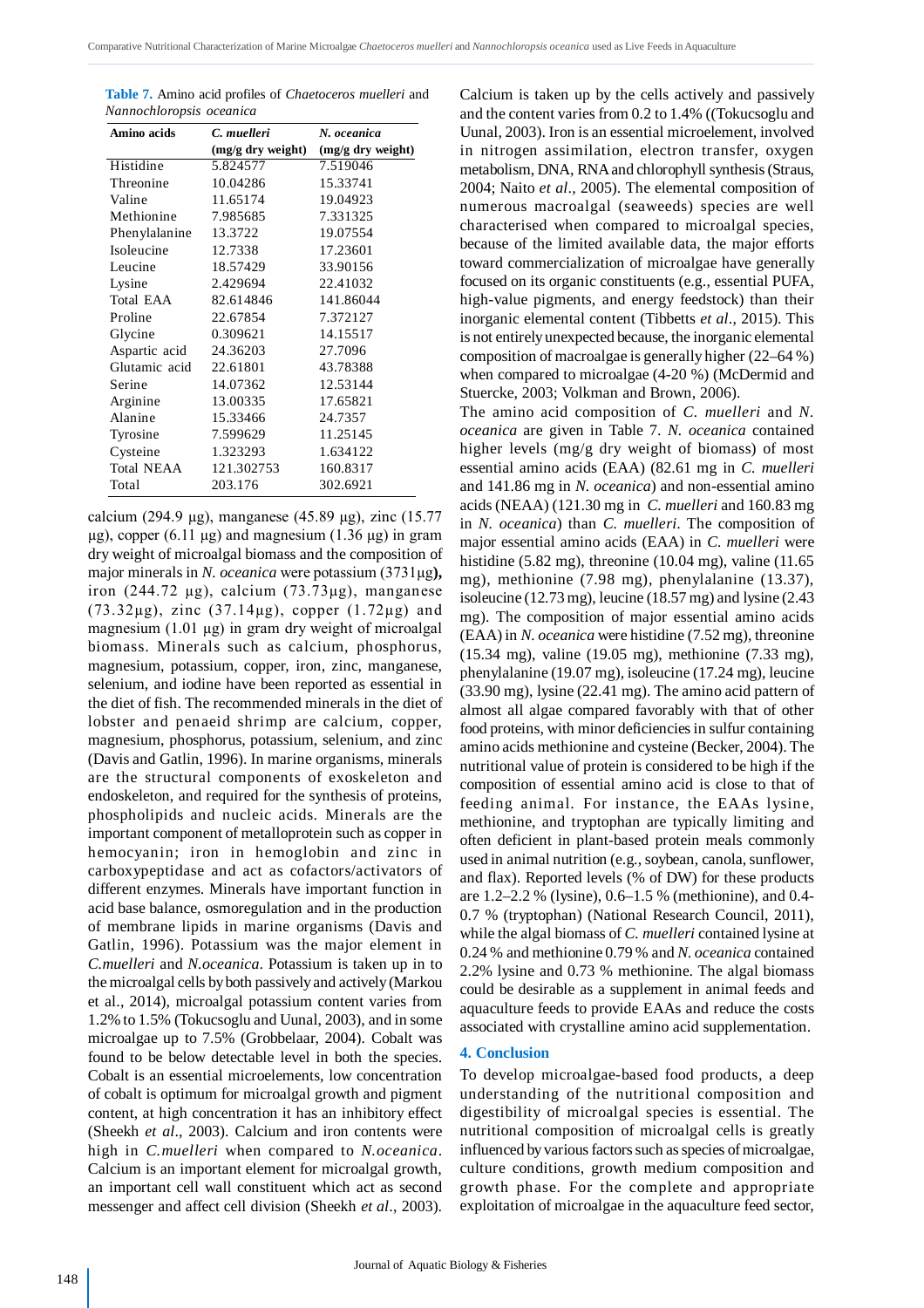| Table 7. Amino acid profiles of <i>Chaetoceros muelleri</i> and |  |
|-----------------------------------------------------------------|--|
| Nannochloropsis oceanica                                        |  |

| Amino acids            | C. muelleri       | N. oceanica       |
|------------------------|-------------------|-------------------|
|                        | (mg/g dry weight) | (mg/g dry weight) |
| Histidine              | 5.824577          | 7.519046          |
| Threonine              | 10.04286          | 15.33741          |
| Valine                 | 11.65174          | 19.04923          |
| Methionine             | 7.985685          | 7.331325          |
| Phenylalanine          | 13.3722           | 19.07554          |
| Isoleucine             | 12.7338           | 17.23601          |
| Leucine                | 18.57429          | 33.90156          |
| Lysine                 | 2.429694          | 22.41032          |
| Total EAA              | 82.614846         | 141.86044         |
| Proline                | 22.67854          | 7.372127          |
| Glycine                | 0.309621          | 14.15517          |
| Aspartic acid          | 24.36203          | 27.7096           |
| Glutamic acid 22.61801 |                   | 43.78388          |
| Serine                 | 14.07362          | 12.53144          |
| Arginine               | 13.00335          | 17.65821          |
| Alanine                | 15.33466          | 24.7357           |
| Tyrosine               | 7.599629          | 11.25145          |
| Cysteine               | 1.323293          | 1.634122          |
| <b>Total NEAA</b>      | 121.302753        | 160.8317          |
| Total                  | 203.176           | 302.6921          |

calcium (294.9 µg), manganese (45.89 µg), zinc (15.77  $\mu$ g), copper (6.11  $\mu$ g) and magnesium (1.36  $\mu$ g) in gram dry weight of microalgal biomass and the composition of major minerals in *N. oceanica* were potassium (3731µg**),** iron  $(244.72 \mu g)$ , calcium  $(73.73 \mu g)$ , manganese (73.32µg), zinc (37.14µg), copper (1.72µg) and magnesium  $(1.01 \mu g)$  in gram dry weight of microalgal biomass. Minerals such as calcium, phosphorus, magnesium, potassium, copper, iron, zinc, manganese, selenium, and iodine have been reported as essential in the diet of fish. The recommended minerals in the diet of lobster and penaeid shrimp are calcium, copper, magnesium, phosphorus, potassium, selenium, and zinc (Davis and Gatlin, 1996). In marine organisms, minerals are the structural components of exoskeleton and endoskeleton, and required for the synthesis of proteins, phospholipids and nucleic acids. Minerals are the important component of metalloprotein such as copper in hemocyanin; iron in hemoglobin and zinc in carboxypeptidase and act as cofactors/activators of different enzymes. Minerals have important function in acid base balance, osmoregulation and in the production of membrane lipids in marine organisms (Davis and Gatlin, 1996). Potassium was the major element in *C.muelleri* and *N.oceanica*. Potassium is taken up in to the microalgal cells by both passively and actively (Markou et al., 2014), microalgal potassium content varies from 1.2% to 1.5% (Tokucsoglu and Uunal, 2003), and in some microalgae up to 7.5% (Grobbelaar, 2004). Cobalt was found to be below detectable level in both the species. Cobalt is an essential microelements, low concentration of cobalt is optimum for microalgal growth and pigment content, at high concentration it has an inhibitory effect (Sheekh *et al*., 2003). Calcium and iron contents were high in *C.muelleri* when compared to *N.oceanica*. Calcium is an important element for microalgal growth, an important cell wall constituent which act as second messenger and affect cell division (Sheekh *et al*., 2003).

Calcium is taken up by the cells actively and passively and the content varies from 0.2 to 1.4% ((Tokucsoglu and Uunal, 2003). Iron is an essential microelement, involved in nitrogen assimilation, electron transfer, oxygen metabolism, DNA, RNA and chlorophyll synthesis (Straus, 2004; Naito *et al*., 2005). The elemental composition of numerous macroalgal (seaweeds) species are well characterised when compared to microalgal species, because of the limited available data, the major efforts toward commercialization of microalgae have generally focused on its organic constituents (e.g., essential PUFA, high-value pigments, and energy feedstock) than their inorganic elemental content (Tibbetts *et al*., 2015). This is not entirely unexpected because, the inorganic elemental composition of macroalgae is generally higher (22–64 %) when compared to microalgae (4-20 %) (McDermid and Stuercke, 2003; Volkman and Brown, 2006).

The amino acid composition of *C. muelleri* and *N. oceanica* are given in Table 7. *N. oceanica* contained higher levels (mg/g dry weight of biomass) of most essential amino acids (EAA) (82.61 mg in *C. muelleri* and 141.86 mg in *N. oceanica*) and non-essential amino acids (NEAA) (121.30 mg in *C. muelleri* and 160.83 mg in *N. oceanica*) than *C. muelleri*. The composition of major essential amino acids (EAA) in *C. muelleri* were histidine (5.82 mg), threonine (10.04 mg), valine (11.65 mg), methionine (7.98 mg), phenylalanine (13.37), isoleucine (12.73 mg), leucine (18.57 mg) and lysine (2.43 mg). The composition of major essential amino acids (EAA) in *N. oceanica* were histidine (7.52 mg), threonine (15.34 mg), valine (19.05 mg), methionine (7.33 mg), phenylalanine (19.07 mg), isoleucine (17.24 mg), leucine (33.90 mg), lysine (22.41 mg). The amino acid pattern of almost all algae compared favorably with that of other food proteins, with minor deficiencies in sulfur containing amino acids methionine and cysteine (Becker, 2004). The nutritional value of protein is considered to be high if the composition of essential amino acid is close to that of feeding animal. For instance, the EAAs lysine, methionine, and tryptophan are typically limiting and often deficient in plant-based protein meals commonly used in animal nutrition (e.g., soybean, canola, sunflower, and flax). Reported levels (% of DW) for these products are 1.2–2.2 % (lysine), 0.6–1.5 % (methionine), and 0.4- 0.7 % (tryptophan) (National Research Council, 2011), while the algal biomass of *C. muelleri* contained lysine at 0.24 % and methionine 0.79 % and *N. oceanica* contained 2.2% lysine and 0.73 % methionine. The algal biomass could be desirable as a supplement in animal feeds and aquaculture feeds to provide EAAs and reduce the costs associated with crystalline amino acid supplementation.

#### **4. Conclusion**

To develop microalgae-based food products, a deep understanding of the nutritional composition and digestibility of microalgal species is essential. The nutritional composition of microalgal cells is greatly influenced by various factors such as species of microalgae, culture conditions, growth medium composition and growth phase. For the complete and appropriate exploitation of microalgae in the aquaculture feed sector,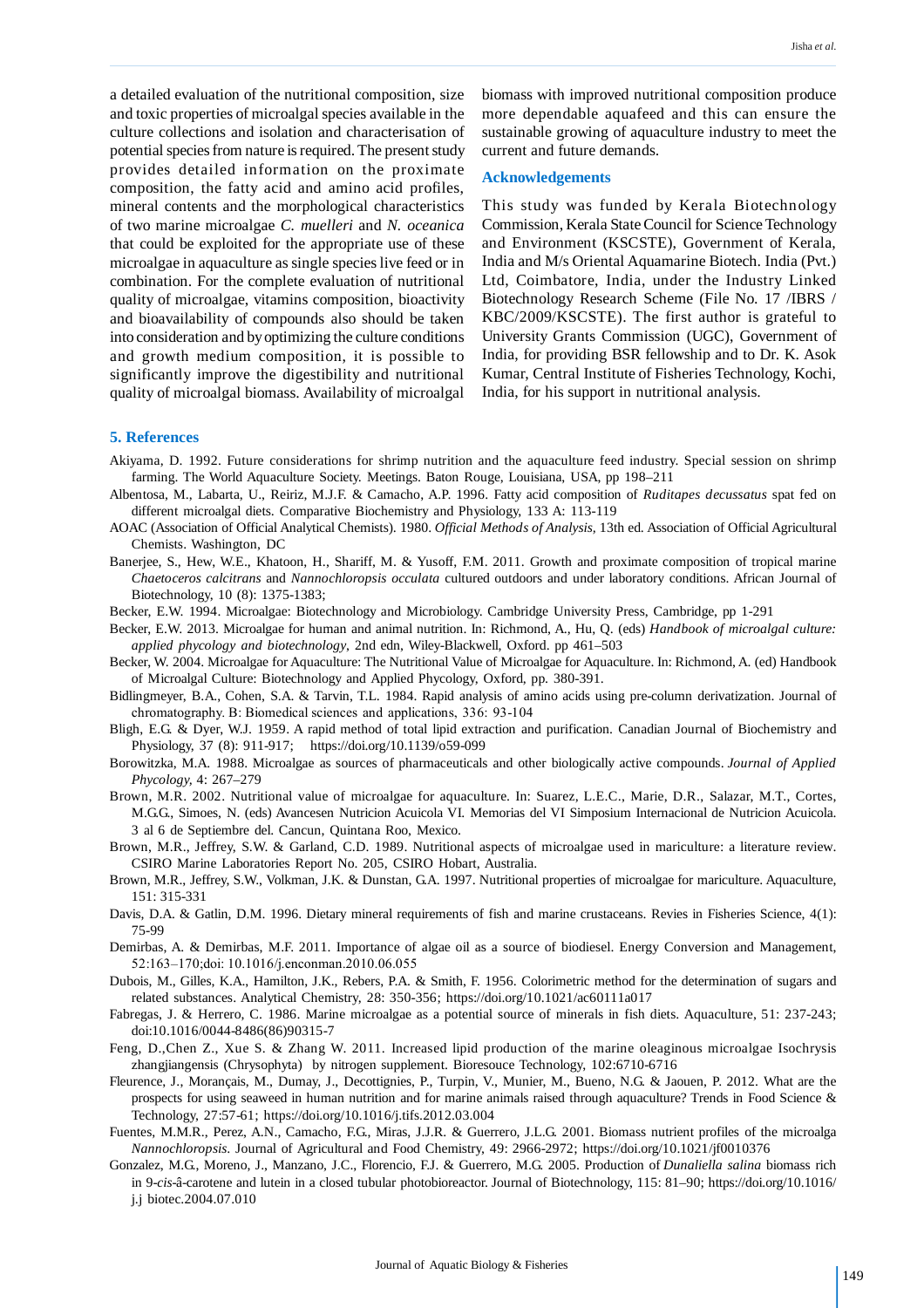a detailed evaluation of the nutritional composition, size and toxic properties of microalgal species available in the culture collections and isolation and characterisation of potential species from nature is required. The present study provides detailed information on the proximate composition, the fatty acid and amino acid profiles, mineral contents and the morphological characteristics of two marine microalgae *C. muelleri* and *N. oceanica* that could be exploited for the appropriate use of these microalgae in aquaculture as single species live feed or in combination. For the complete evaluation of nutritional quality of microalgae, vitamins composition, bioactivity and bioavailability of compounds also should be taken into consideration and by optimizing the culture conditions and growth medium composition, it is possible to significantly improve the digestibility and nutritional quality of microalgal biomass. Availability of microalgal biomass with improved nutritional composition produce more dependable aquafeed and this can ensure the sustainable growing of aquaculture industry to meet the current and future demands.

#### **Acknowledgements**

This study was funded by Kerala Biotechnology Commission, Kerala State Council for Science Technology and Environment (KSCSTE), Government of Kerala, India and M/s Oriental Aquamarine Biotech. India (Pvt.) Ltd, Coimbatore, India, under the Industry Linked Biotechnology Research Scheme (File No. 17 /IBRS / KBC/2009/KSCSTE). The first author is grateful to University Grants Commission (UGC), Government of India, for providing BSR fellowship and to Dr. K. Asok Kumar, Central Institute of Fisheries Technology, Kochi, India, for his support in nutritional analysis.

# **5. References**

- Akiyama, D. 1992. Future considerations for shrimp nutrition and the aquaculture feed industry. Special session on shrimp farming. The World Aquaculture Society. Meetings. Baton Rouge, Louisiana, USA, pp 198–211
- Albentosa, M., Labarta, U., Reiriz, M.J.F. & Camacho, A.P. 1996. Fatty acid composition of *Ruditapes decussatus* spat fed on different microalgal diets. Comparative Biochemistry and Physiology, 133 A: 113-119
- AOAC (Association of Official Analytical Chemists). 1980. *Official Methods of Analysis,* 13th ed. Association of Official Agricultural Chemists. Washington, DC
- Banerjee, S., Hew, W.E., Khatoon, H., Shariff, M. & Yusoff, F.M. 2011. Growth and proximate composition of tropical marine *Chaetoceros calcitrans* and *Nannochloropsis occulata* cultured outdoors and under laboratory conditions. African Journal of Biotechnology, 10 (8): 1375-1383;
- Becker, E.W. 1994. Microalgae: Biotechnology and Microbiology. Cambridge University Press, Cambridge, pp 1-291
- Becker, E.W. 2013. Microalgae for human and animal nutrition. In: Richmond, A., Hu, Q. (eds) *Handbook of microalgal culture: applied phycology and biotechnology*, 2nd edn, Wiley-Blackwell, Oxford. pp 461–503
- Becker, W. 2004. Microalgae for Aquaculture: The Nutritional Value of Microalgae for Aquaculture. In: Richmond, A. (ed) Handbook of Microalgal Culture: Biotechnology and Applied Phycology, Oxford, pp. 380-391.
- Bidlingmeyer, B.A., Cohen, S.A. & Tarvin, T.L. 1984. Rapid analysis of amino acids using pre-column derivatization. Journal of chromatography. B: Biomedical sciences and applications, 336: 93-104
- Bligh, E.G. & Dyer, W.J. 1959. A rapid method of total lipid extraction and purification. Canadian Journal of Biochemistry and Physiology, 37 (8): 911-917; https://doi.org/10.1139/o59-099
- Borowitzka, M.A. 1988. Microalgae as sources of pharmaceuticals and other biologically active compounds. *Journal of Applied Phycology,* 4: 267–279
- Brown, M.R. 2002. Nutritional value of microalgae for aquaculture. In: Suarez, L.E.C., Marie, D.R., Salazar, M.T., Cortes, M.G.G., Simoes, N. (eds) Avancesen Nutricion Acuicola VI. Memorias del VI Simposium Internacional de Nutricion Acuicola. 3 al 6 de Septiembre del. Cancun, Quintana Roo, Mexico.
- Brown, M.R., Jeffrey, S.W. & Garland, C.D. 1989. Nutritional aspects of microalgae used in mariculture: a literature review. CSIRO Marine Laboratories Report No. 205, CSIRO Hobart, Australia.
- Brown, M.R., Jeffrey, S.W., Volkman, J.K. & Dunstan, G.A. 1997. Nutritional properties of microalgae for mariculture. Aquaculture, 151: 315-331
- Davis, D.A. & Gatlin, D.M. 1996. Dietary mineral requirements of fish and marine crustaceans. Revies in Fisheries Science, 4(1): 75-99
- Demirbas, A. & Demirbas, M.F. 2011. Importance of algae oil as a source of biodiesel. Energy Conversion and Management, 52:163–170;doi: 10.1016/j.enconman.2010.06.055
- Dubois, M., Gilles, K.A., Hamilton, J.K., Rebers, P.A. & Smith, F. 1956. Colorimetric method for the determination of sugars and related substances. Analytical Chemistry, 28: 350-356; https://doi.org/10.1021/ac60111a017
- Fabregas, J. & Herrero, C. 1986. Marine microalgae as a potential source of minerals in fish diets. Aquaculture, 51: 237-243; doi:10.1016/0044-8486(86)90315-7
- Feng, D.,Chen Z., Xue S. & Zhang W. 2011. Increased lipid production of the marine oleaginous microalgae Isochrysis zhangjiangensis (Chrysophyta) by nitrogen supplement. Bioresouce Technology, 102:6710-6716
- Fleurence, J., Morançais, M., Dumay, J., Decottignies, P., Turpin, V., Munier, M., Bueno, N.G. & Jaouen, P. 2012. What are the prospects for using seaweed in human nutrition and for marine animals raised through aquaculture? Trends in Food Science & Technology, 27:57-61; https://doi.org/10.1016/j.tifs.2012.03.004
- Fuentes, M.M.R., Perez, A.N., Camacho, F.G., Miras, J.J.R. & Guerrero, J.L.G. 2001. Biomass nutrient profiles of the microalga *Nannochloropsis*. Journal of Agricultural and Food Chemistry, 49: 2966-2972; https://doi.org/10.1021/jf0010376
- Gonzalez, M.G., Moreno, J., Manzano, J.C., Florencio, F.J. & Guerrero, M.G. 2005. Production of *Dunaliella salina* biomass rich in 9-*cis*-â-carotene and lutein in a closed tubular photobioreactor. Journal of Biotechnology, 115: 81–90; https://doi.org/10.1016/ j.j biotec.2004.07.010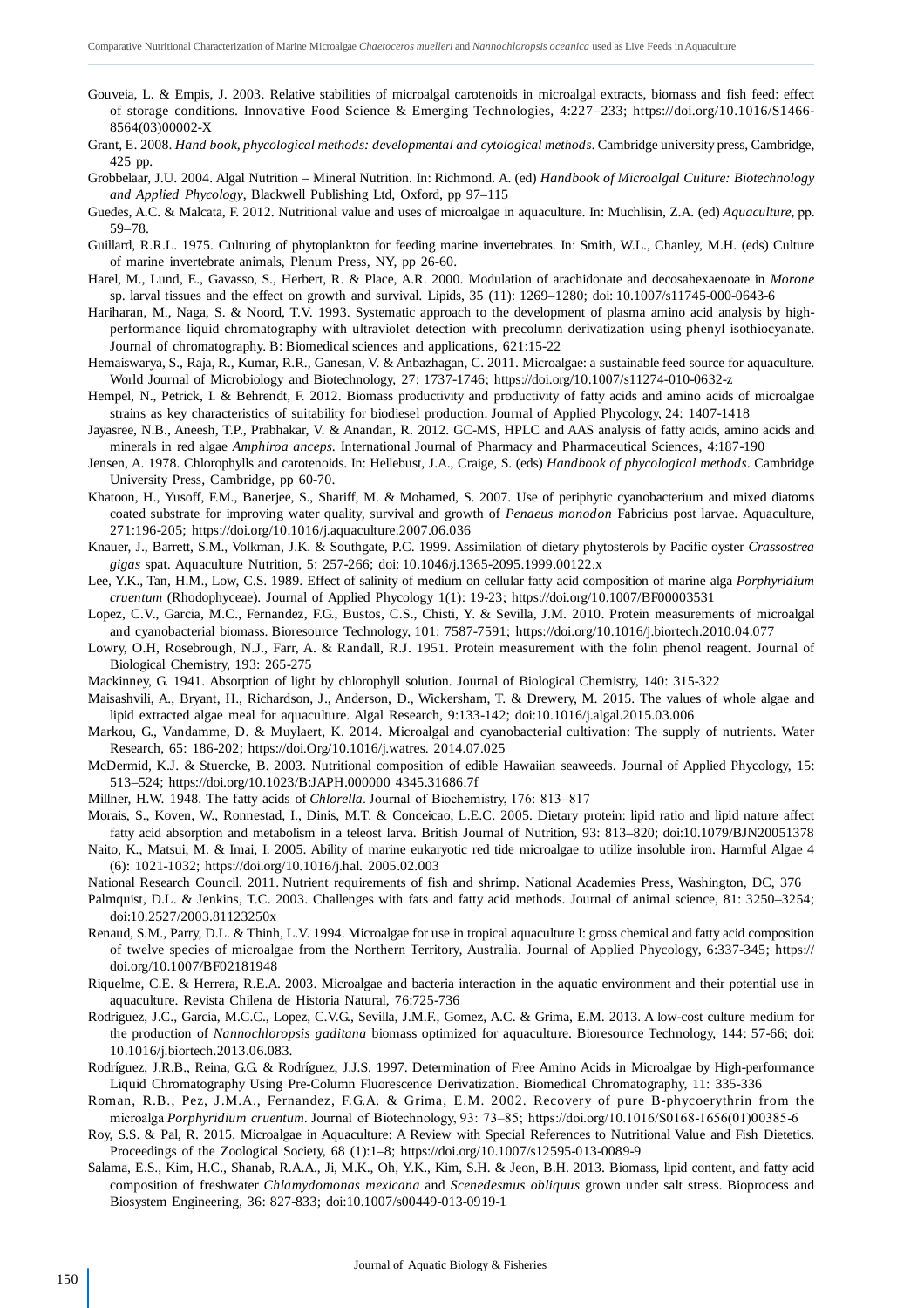- Gouveia, L. & Empis, J. 2003. Relative stabilities of microalgal carotenoids in microalgal extracts, biomass and fish feed: effect of storage conditions. Innovative Food Science & Emerging Technologies, 4:227–233; https://doi.org/10.1016/S1466- 8564(03)00002-X
- Grant, E. 2008. *Hand book, phycological methods: developmental and cytological methods*. Cambridge university press, Cambridge, 425 pp.
- Grobbelaar, J.U. 2004. Algal Nutrition Mineral Nutrition. In: Richmond. A. (ed) *Handbook of Microalgal Culture: Biotechnology and Applied Phycology*, Blackwell Publishing Ltd, Oxford, pp 97–115
- Guedes, A.C. & Malcata, F. 2012. Nutritional value and uses of microalgae in aquaculture. In: Muchlisin, Z.A. (ed) *Aquaculture,* pp. 59–78.
- Guillard, R.R.L. 1975. Culturing of phytoplankton for feeding marine invertebrates. In: Smith, W.L., Chanley, M.H. (eds) Culture of marine invertebrate animals, Plenum Press, NY, pp 26-60.
- Harel, M., Lund, E., Gavasso, S., Herbert, R. & Place, A.R. 2000. Modulation of arachidonate and decosahexaenoate in *Morone* sp. larval tissues and the effect on growth and survival. Lipids, 35 (11): 1269–1280; doi: 10.1007/s11745-000-0643-6
- Hariharan, M., Naga, S. & Noord, T.V. 1993. Systematic approach to the development of plasma amino acid analysis by highperformance liquid chromatography with ultraviolet detection with precolumn derivatization using phenyl isothiocyanate. Journal of chromatography. B: Biomedical sciences and applications, 621:15-22
- Hemaiswarya, S., Raja, R., Kumar, R.R., Ganesan, V. & Anbazhagan, C. 2011. Microalgae: a sustainable feed source for aquaculture. World Journal of Microbiology and Biotechnology, 27: 1737-1746; https://doi.org/10.1007/s11274-010-0632-z
- Hempel, N., Petrick, I. & Behrendt, F. 2012. Biomass productivity and productivity of fatty acids and amino acids of microalgae strains as key characteristics of suitability for biodiesel production. Journal of Applied Phycology, 24: 1407-1418
- Jayasree, N.B., Aneesh, T.P., Prabhakar, V. & Anandan, R. 2012. GC-MS, HPLC and AAS analysis of fatty acids, amino acids and minerals in red algae *Amphiroa anceps*. International Journal of Pharmacy and Pharmaceutical Sciences, 4:187-190
- Jensen, A. 1978. Chlorophylls and carotenoids. In: Hellebust, J.A., Craige, S. (eds) *Handbook of phycological methods*. Cambridge University Press, Cambridge, pp 60-70.
- Khatoon, H., Yusoff, F.M., Banerjee, S., Shariff, M. & Mohamed, S. 2007. Use of periphytic cyanobacterium and mixed diatoms coated substrate for improving water quality, survival and growth of *Penaeus monodon* Fabricius post larvae. Aquaculture, 271:196-205; https://doi.org/10.1016/j.aquaculture.2007.06.036
- Knauer, J., Barrett, S.M., Volkman, J.K. & Southgate, P.C. 1999. Assimilation of dietary phytosterols by Pacific oyster *Crassostrea gigas* spat. Aquaculture Nutrition, 5: 257-266; doi: 10.1046/j.1365-2095.1999.00122.x
- Lee, Y.K., Tan, H.M., Low, C.S. 1989. Effect of salinity of medium on cellular fatty acid composition of marine alga *Porphyridium cruentum* (Rhodophyceae). Journal of Applied Phycology 1(1): 19-23; https://doi.org/10.1007/BF00003531
- Lopez, C.V., Garcia, M.C., Fernandez, F.G., Bustos, C.S., Chisti, Y. & Sevilla, J.M. 2010. Protein measurements of microalgal and cyanobacterial biomass. Bioresource Technology, 101: 7587-7591; https://doi.org/10.1016/j.biortech.2010.04.077
- Lowry, O.H, Rosebrough, N.J., Farr, A. & Randall, R.J. 1951. Protein measurement with the folin phenol reagent. Journal of Biological Chemistry, 193: 265-275
- Mackinney, G. 1941. Absorption of light by chlorophyll solution. Journal of Biological Chemistry, 140: 315-322
- Maisashvili, A., Bryant, H., Richardson, J., Anderson, D., Wickersham, T. & Drewery, M. 2015. The values of whole algae and lipid extracted algae meal for aquaculture. Algal Research, 9:133-142; doi:10.1016/j.algal.2015.03.006
- Markou, G., Vandamme, D. & Muylaert, K. 2014. Microalgal and cyanobacterial cultivation: The supply of nutrients. Water Research, 65: 186-202; https://doi.Org/10.1016/j.watres. 2014.07.025
- McDermid, K.J. & Stuercke, B. 2003. Nutritional composition of edible Hawaiian seaweeds. Journal of Applied Phycology, 15: 513–524; https://doi.org/10.1023/B:JAPH.000000 4345.31686.7f
- Millner, H.W. 1948. The fatty acids of *Chlorella*. Journal of Biochemistry, 176: 813–817
- Morais, S., Koven, W., Ronnestad, I., Dinis, M.T. & Conceicao, L.E.C. 2005. Dietary protein: lipid ratio and lipid nature affect fatty acid absorption and metabolism in a teleost larva. British Journal of Nutrition, 93: 813–820; doi:10.1079/BJN20051378
- Naito, K., Matsui, M. & Imai, I. 2005. Ability of marine eukaryotic red tide microalgae to utilize insoluble iron. Harmful Algae 4 (6): 1021-1032; https://doi.org/10.1016/j.hal. 2005.02.003
- National Research Council. 2011. Nutrient requirements of fish and shrimp. National Academies Press, Washington, DC, 376
- Palmquist, D.L. & Jenkins, T.C. 2003. Challenges with fats and fatty acid methods. Journal of animal science, 81: 3250–3254; doi:10.2527/2003.81123250x
- Renaud, S.M., Parry, D.L. & Thinh, L.V. 1994. Microalgae for use in tropical aquaculture I: gross chemical and fatty acid composition of twelve species of microalgae from the Northern Territory, Australia. Journal of Applied Phycology, 6:337-345; https:// doi.org/10.1007/BF02181948
- Riquelme, C.E. & Herrera, R.E.A. 2003. Microalgae and bacteria interaction in the aquatic environment and their potential use in aquaculture. Revista Chilena de Historia Natural, 76:725-736
- Rodriguez, J.C., García, M.C.C., Lopez, C.V.G., Sevilla, J.M.F., Gomez, A.C. & Grima, E.M. 2013. A low-cost culture medium for the production of *Nannochloropsis gaditana* biomass optimized for aquaculture. Bioresource Technology, 144: 57-66; doi: 10.1016/j.biortech.2013.06.083.
- Rodríguez, J.R.B., Reina, G.G. & Rodríguez, J.J.S. 1997. Determination of Free Amino Acids in Microalgae by High-performance Liquid Chromatography Using Pre-Column Fluorescence Derivatization. Biomedical Chromatography, 11: 335-336
- Roman, R.B., Pez, J.M.A., Fernandez, F.G.A. & Grima, E.M. 2002. Recovery of pure B-phycoerythrin from the microalga *Porphyridium cruentum*. Journal of Biotechnology, 93: 73–85; https://doi.org/10.1016/S0168-1656(01)00385-6
- Roy, S.S. & Pal, R. 2015. Microalgae in Aquaculture: A Review with Special References to Nutritional Value and Fish Dietetics. Proceedings of the Zoological Society, 68 (1):1–8; https://doi.org/10.1007/s12595-013-0089-9
- Salama, E.S., Kim, H.C., Shanab, R.A.A., Ji, M.K., Oh, Y.K., Kim, S.H. & Jeon, B.H. 2013. Biomass, lipid content, and fatty acid composition of freshwater *Chlamydomonas mexicana* and *Scenedesmus obliquus* grown under salt stress. Bioprocess and Biosystem Engineering, 36: 827-833; doi:10.1007/s00449-013-0919-1